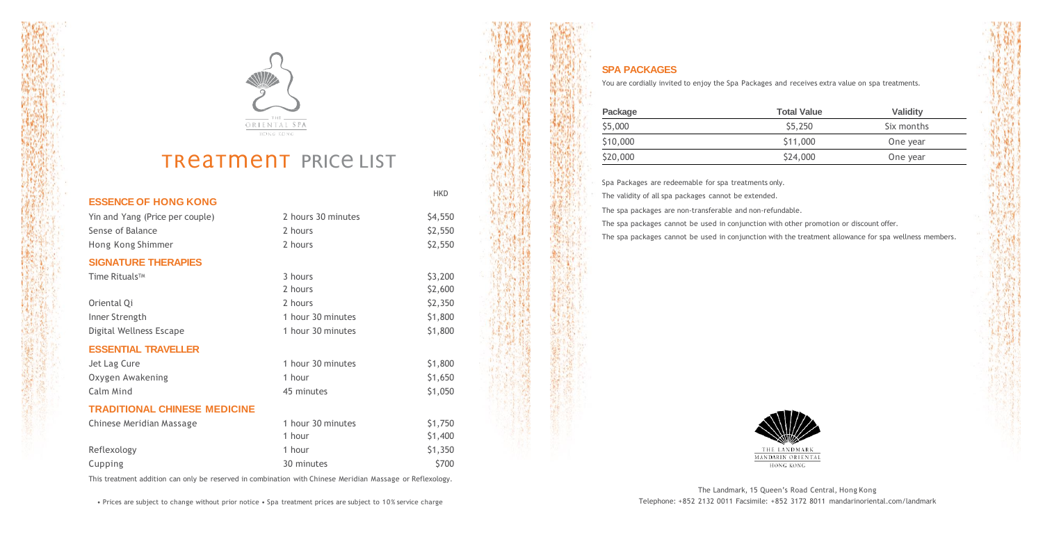



## TReaTMENT PRICE LIST

| <b>ESSENCE OF HONG KONG</b>         |                    | <b>HKD</b> |
|-------------------------------------|--------------------|------------|
| Yin and Yang (Price per couple)     | 2 hours 30 minutes | \$4,550    |
| Sense of Balance                    | 2 hours            | \$2,550    |
| Hong Kong Shimmer                   | 2 hours            | \$2,550    |
| <b>SIGNATURE THERAPIES</b>          |                    |            |
| Time Rituals <sup>™</sup>           | 3 hours            | \$3,200    |
|                                     | 2 hours            | \$2,600    |
| Oriental Qi                         | 2 hours            | \$2,350    |
| Inner Strength                      | 1 hour 30 minutes  | \$1,800    |
| Digital Wellness Escape             | 1 hour 30 minutes  | \$1,800    |
| <b>ESSENTIAL TRAVELLER</b>          |                    |            |
| Jet Lag Cure                        | 1 hour 30 minutes  | \$1,800    |
| Oxygen Awakening                    | 1 hour             | \$1,650    |
| Calm Mind                           | 45 minutes         | \$1,050    |
| <b>TRADITIONAL CHINESE MEDICINE</b> |                    |            |
| Chinese Meridian Massage            | 1 hour 30 minutes  | \$1,750    |
|                                     | 1 hour             | \$1,400    |
| Reflexology                         | 1 hour             | \$1,350    |
| Cupping                             | 30 minutes         | \$700      |

This treatment addition can only be reserved in combination with Chinese Meridian Massage or Reflexology.

• Prices are subject to change without prior notice • Spa treatment prices are subject to 10% service charge



## **SPA PACKAGES**

You are cordially invited to enjoy the Spa Packages and receives extra value on spa treatments.

| Package  | <b>Total Value</b> | Validity   |
|----------|--------------------|------------|
| \$5,000  | \$5,250            | Six months |
| \$10,000 | \$11,000           | One year   |
| \$20,000 | \$24,000           | One year   |

Spa Packages are redeemable for spa treatments only.

The validity of all spa packages cannot be extended.

The spa packages are non-transferable and non-refundable.

The spa packages cannot be used in conjunction with other promotion or discount offer.

The spa packages cannot be used in conjunction with the treatment allowance for spa wellness members.



The Landmark, 15 Queen's Road Central, Hong Kong Telephone: +852 2132 0011 Facsimile: +852 3172 8011 mandarinoriental.com/landmark